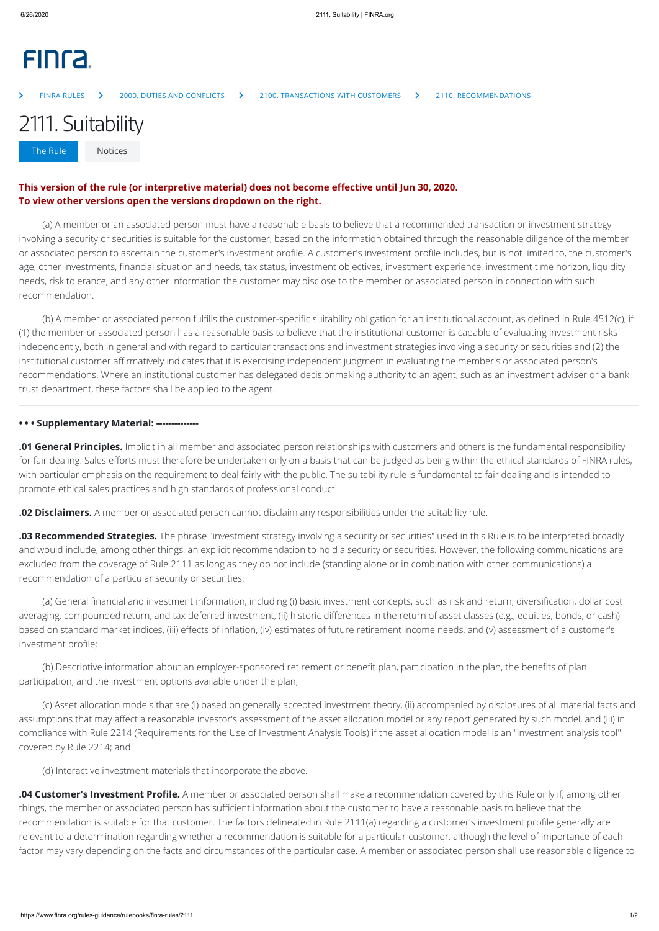## FIN<sub>ra</sub>



<span id="page-0-0"></span>This version of the rule (or interpretive material) does not become effective until Jun 30, 2020. **To view other versions open the versions dropdown on the right.**

(a) A member or an associated person must have a reasonable basis to believe that a recommended transaction or investment strategy involving a security or securities is suitable for the customer, based on the information obtained through the reasonable diligence of the member or associated person to ascertain the customer's investment profile. A customer's investment profile includes, but is not limited to, the customer's age, other investments, financial situation and needs, tax status, investment objectives, investment experience, investment time horizon, liquidity needs, risk tolerance, and any other information the customer may disclose to the member or associated person in connection with such recommendation.

(b) A member or associated person fulfills the customer-specific suitability obligation for an institutional account, as defined in Rule 4512(c), if (1) the member or associated person has a reasonable basis to believe that the institutional customer is capable of evaluating investment risks independently, both in general and with regard to particular transactions and investment strategies involving a security or securities and (2) the institutional customer affirmatively indicates that it is exercising independent judgment in evaluating the member's or associated person's recommendations. Where an institutional customer has delegated decisionmaking authority to an agent, such as an investment adviser or a bank trust department, these factors shall be applied to the agent.

(b) Descriptive information about an employer-sponsored retirement or benefit plan, participation in the plan, the benefits of plan participation, and the investment options available under the plan;

## **• • • Supplementary Material: --------------**

**.01 General Principles.** Implicit in all member and associated person relationships with customers and others is the fundamental responsibility for fair dealing. Sales efforts must therefore be undertaken only on a basis that can be judged as being within the ethical standards of FINRA rules, with particular emphasis on the requirement to deal fairly with the public. The suitability rule is fundamental to fair dealing and is intended to promote ethical sales practices and high standards of professional conduct.

**.04 Customer's Investment Profile.** A member or associated person shall make a recommendation covered by this Rule only if, among other things, the member or associated person has sufficient information about the customer to have a reasonable basis to believe that the recommendation is suitable for that customer. The factors delineated in Rule 2111(a) regarding a customer's investment profile generally are relevant to a determination regarding whether a recommendation is suitable for a particular customer, although the level of importance of each factor may vary depending on the facts and circumstances of the particular case. A member or associated person shall use reasonable diligence to

**.02 Disclaimers.** A member or associated person cannot disclaim any responsibilities under the suitability rule.

**.03 Recommended Strategies.** The phrase "investment strategy involving a security or securities" used in this Rule is to be interpreted broadly and would include, among other things, an explicit recommendation to hold a security or securities. However, the following communications are excluded from the coverage of Rule 2111 as long as they do not include (standing alone or in combination with other communications) a recommendation of a particular security or securities:

(a) General financial and investment information, including (i) basic investment concepts, such as risk and return, diversification, dollar cost averaging, compounded return, and tax deferred investment, (ii) historic differences in the return of asset classes (e.g., equities, bonds, or cash) based on standard market indices, (iii) effects of inflation, (iv) estimates of future retirement income needs, and (v) assessment of a customer's investment profile;

(c) Asset allocation models that are (i) based on generally accepted investment theory, (ii) accompanied by disclosures of all material facts and assumptions that may affect a reasonable investor's assessment of the asset allocation model or any report generated by such model, and (iii) in compliance with Rule 2214 (Requirements for the Use of Investment Analysis Tools) if the asset allocation model is an "investment analysis tool" covered by Rule 2214; and

(d) Interactive investment materials that incorporate the above.